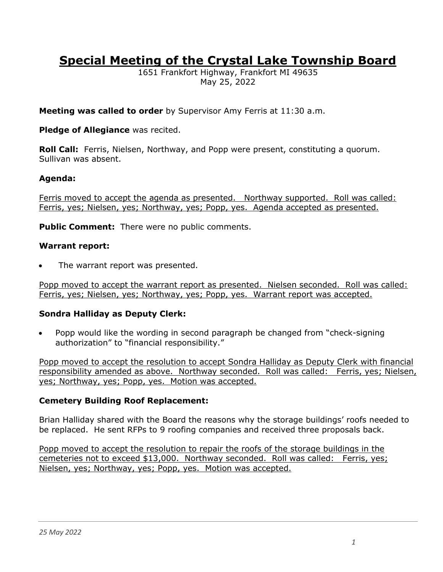# **Special Meeting of the Crystal Lake Township Board**

1651 Frankfort Highway, Frankfort MI 49635 May 25, 2022

**Meeting was called to order** by Supervisor Amy Ferris at 11:30 a.m.

## **Pledge of Allegiance** was recited.

**Roll Call:** Ferris, Nielsen, Northway, and Popp were present, constituting a quorum. Sullivan was absent.

## **Agenda:**

Ferris moved to accept the agenda as presented. Northway supported. Roll was called: Ferris, yes; Nielsen, yes; Northway, yes; Popp, yes. Agenda accepted as presented.

**Public Comment:** There were no public comments.

#### **Warrant report:**

The warrant report was presented.

Popp moved to accept the warrant report as presented. Nielsen seconded. Roll was called: Ferris, yes; Nielsen, yes; Northway, yes; Popp, yes. Warrant report was accepted.

#### **Sondra Halliday as Deputy Clerk:**

• Popp would like the wording in second paragraph be changed from "check-signing authorization" to "financial responsibility."

Popp moved to accept the resolution to accept Sondra Halliday as Deputy Clerk with financial responsibility amended as above. Northway seconded. Roll was called: Ferris, yes; Nielsen, yes; Northway, yes; Popp, yes. Motion was accepted.

#### **Cemetery Building Roof Replacement:**

Brian Halliday shared with the Board the reasons why the storage buildings' roofs needed to be replaced. He sent RFPs to 9 roofing companies and received three proposals back.

Popp moved to accept the resolution to repair the roofs of the storage buildings in the cemeteries not to exceed \$13,000. Northway seconded. Roll was called: Ferris, yes; Nielsen, yes; Northway, yes; Popp, yes. Motion was accepted.